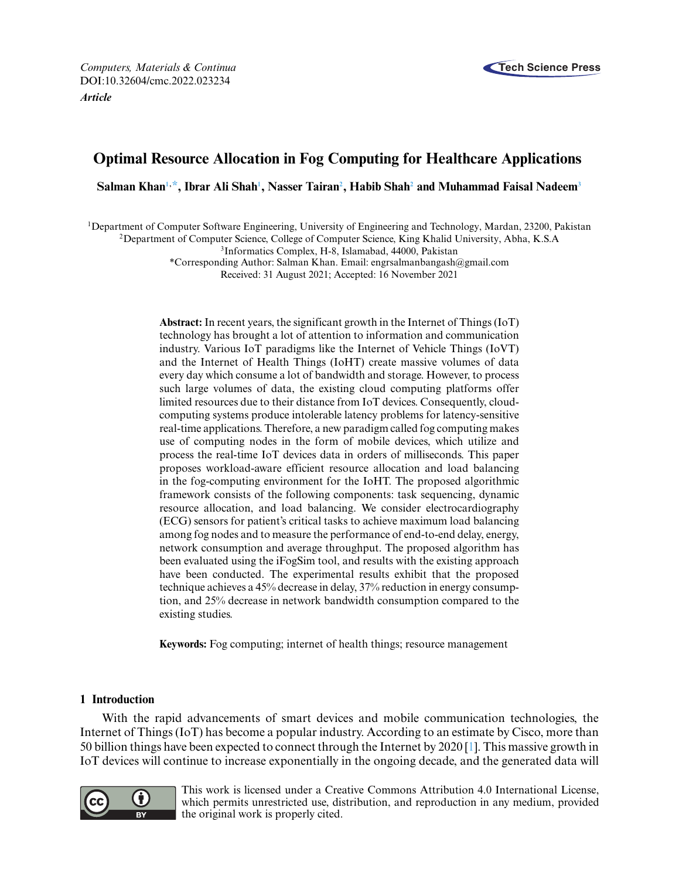

# **Optimal Resource Allocation in Fog Computing for Healthcare Applications**

**Salman Kha[n1,](#page-0-0) [\\*,](#page-0-1) Ibrar Ali Sha[h1](#page-0-0) , Nasser Taira[n2](#page-0-2) , Habib Sha[h2](#page-0-2) and Muhammad Faisal Nadee[m3](#page-0-2)**

<span id="page-0-0"></span>1Department of Computer Software Engineering, University of Engineering and Technology, Mardan, 23200, Pakistan

<span id="page-0-2"></span>2Department of Computer Science, College of Computer Science, King Khalid University, Abha, K.S.A

3Informatics Complex, H-8, Islamabad, 44000, Pakistan

<span id="page-0-1"></span>\*Corresponding Author: Salman Khan. Email: [engrsalmanbangash@gmail.com](mailto:engrsalmanbangash@gmail.com) Received: 31 August 2021; Accepted: 16 November 2021

**Abstract:** In recent years, the significant growth in the Internet of Things (IoT) technology has brought a lot of attention to information and communication industry. Various IoT paradigms like the Internet of Vehicle Things (IoVT) and the Internet of Health Things (IoHT) create massive volumes of data every day which consume a lot of bandwidth and storage. However, to process such large volumes of data, the existing cloud computing platforms offer limited resources due to their distance from IoT devices. Consequently, cloudcomputing systems produce intolerable latency problems for latency-sensitive real-time applications. Therefore, a new paradigm called fog computing makes use of computing nodes in the form of mobile devices, which utilize and process the real-time IoT devices data in orders of milliseconds. This paper proposes workload-aware efficient resource allocation and load balancing in the fog-computing environment for the IoHT. The proposed algorithmic framework consists of the following components: task sequencing, dynamic resource allocation, and load balancing. We consider electrocardiography (ECG) sensors for patient's critical tasks to achieve maximum load balancing among fog nodes and to measure the performance of end-to-end delay, energy, network consumption and average throughput. The proposed algorithm has been evaluated using the iFogSim tool, and results with the existing approach have been conducted. The experimental results exhibit that the proposed technique achieves a 45% decrease in delay, 37% reduction in energy consumption, and 25% decrease in network bandwidth consumption compared to the existing studies.

**Keywords:** Fog computing; internet of health things; resource management

# **1 Introduction**

With the rapid advancements of smart devices and mobile communication technologies, the Internet of Things (IoT) has become a popular industry. According to an estimate by Cisco, more than 50 billion things have been expected to connect through the Internet by 2020 [\[1\]](#page-15-0). This massive growth in IoT devices will continue to increase exponentially in the ongoing decade, and the generated data will



This work is licensed under a Creative Commons Attribution 4.0 International License, which permits unrestricted use, distribution, and reproduction in any medium, provided the original work is properly cited.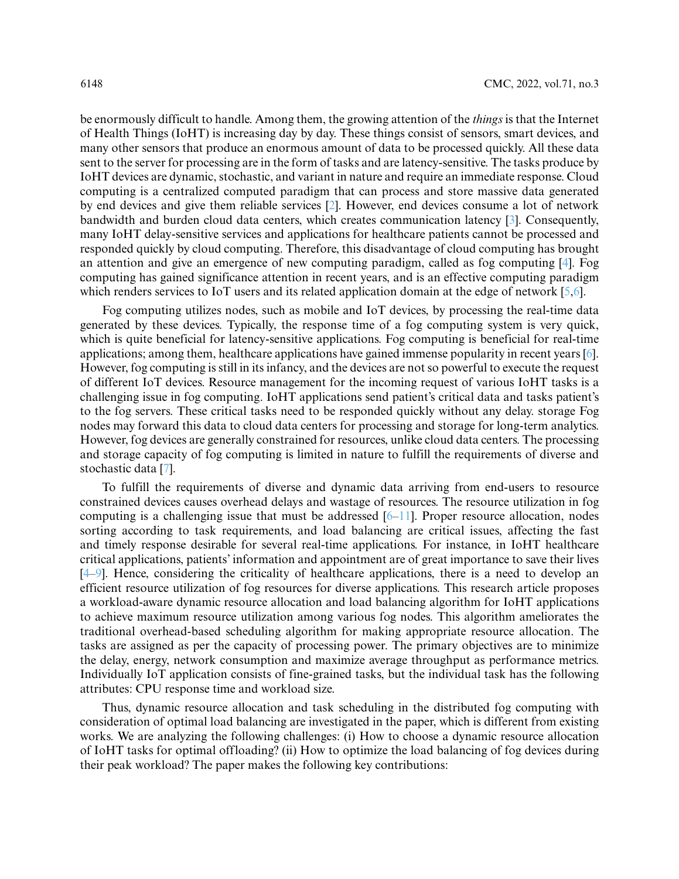be enormously difficult to handle. Among them, the growing attention of the *things* is that the Internet of Health Things (IoHT) is increasing day by day. These things consist of sensors, smart devices, and many other sensors that produce an enormous amount of data to be processed quickly. All these data sent to the server for processing are in the form of tasks and are latency-sensitive. The tasks produce by IoHT devices are dynamic, stochastic, and variant in nature and require an immediate response. Cloud computing is a centralized computed paradigm that can process and store massive data generated by end devices and give them reliable services [\[2\]](#page-15-1). However, end devices consume a lot of network bandwidth and burden cloud data centers, which creates communication latency [\[3\]](#page-15-2). Consequently, many IoHT delay-sensitive services and applications for healthcare patients cannot be processed and responded quickly by cloud computing. Therefore, this disadvantage of cloud computing has brought an attention and give an emergence of new computing paradigm, called as fog computing [\[4\]](#page-15-3). Fog computing has gained significance attention in recent years, and is an effective computing paradigm which renders services to IoT users and its related application domain at the edge of network [\[5,](#page-15-4)[6\]](#page-15-5).

Fog computing utilizes nodes, such as mobile and IoT devices, by processing the real-time data generated by these devices. Typically, the response time of a fog computing system is very quick, which is quite beneficial for latency-sensitive applications. Fog computing is beneficial for real-time applications; among them, healthcare applications have gained immense popularity in recent years [\[6\]](#page-15-5). However, fog computing is still in its infancy, and the devices are not so powerful to execute the request of different IoT devices. Resource management for the incoming request of various IoHT tasks is a challenging issue in fog computing. IoHT applications send patient's critical data and tasks patient's to the fog servers. These critical tasks need to be responded quickly without any delay. storage Fog nodes may forward this data to cloud data centers for processing and storage for long-term analytics. However, fog devices are generally constrained for resources, unlike cloud data centers. The processing and storage capacity of fog computing is limited in nature to fulfill the requirements of diverse and stochastic data [\[7\]](#page-15-6).

To fulfill the requirements of diverse and dynamic data arriving from end-users to resource constrained devices causes overhead delays and wastage of resources. The resource utilization in fog computing is a challenging issue that must be addressed  $[6–11]$  $[6–11]$ . Proper resource allocation, nodes sorting according to task requirements, and load balancing are critical issues, affecting the fast and timely response desirable for several real-time applications. For instance, in IoHT healthcare critical applications, patients' information and appointment are of great importance to save their lives [\[4–](#page-15-3)[9\]](#page-15-8). Hence, considering the criticality of healthcare applications, there is a need to develop an efficient resource utilization of fog resources for diverse applications. This research article proposes a workload-aware dynamic resource allocation and load balancing algorithm for IoHT applications to achieve maximum resource utilization among various fog nodes. This algorithm ameliorates the traditional overhead-based scheduling algorithm for making appropriate resource allocation. The tasks are assigned as per the capacity of processing power. The primary objectives are to minimize the delay, energy, network consumption and maximize average throughput as performance metrics. Individually IoT application consists of fine-grained tasks, but the individual task has the following attributes: CPU response time and workload size.

Thus, dynamic resource allocation and task scheduling in the distributed fog computing with consideration of optimal load balancing are investigated in the paper, which is different from existing works. We are analyzing the following challenges: (i) How to choose a dynamic resource allocation of IoHT tasks for optimal offloading? (ii) How to optimize the load balancing of fog devices during their peak workload? The paper makes the following key contributions: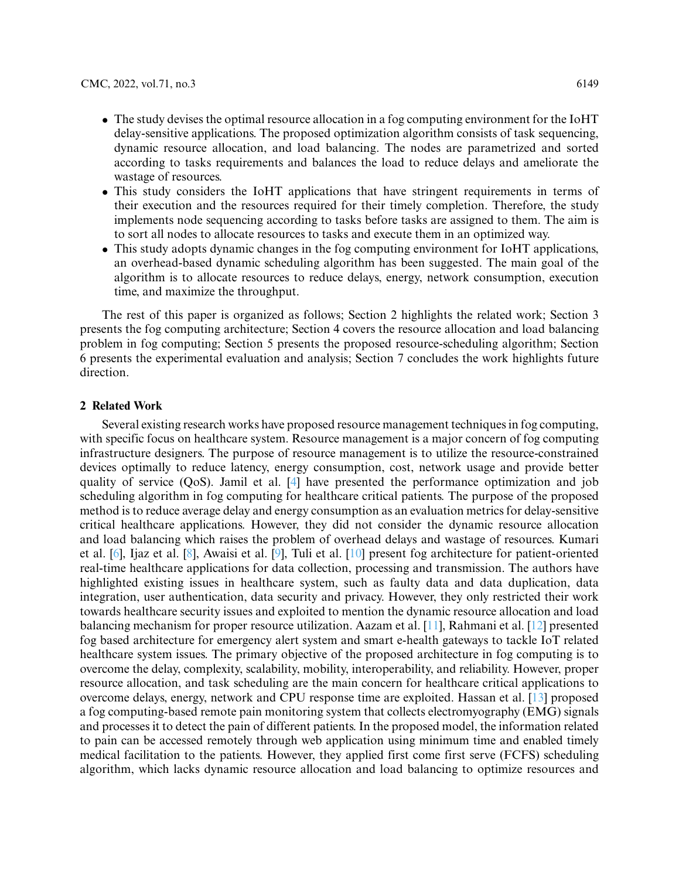- The study devises the optimal resource allocation in a fog computing environment for the IoHT delay-sensitive applications. The proposed optimization algorithm consists of task sequencing, dynamic resource allocation, and load balancing. The nodes are parametrized and sorted according to tasks requirements and balances the load to reduce delays and ameliorate the wastage of resources.
- This study considers the IoHT applications that have stringent requirements in terms of their execution and the resources required for their timely completion. Therefore, the study implements node sequencing according to tasks before tasks are assigned to them. The aim is to sort all nodes to allocate resources to tasks and execute them in an optimized way.
- This study adopts dynamic changes in the fog computing environment for IoHT applications, an overhead-based dynamic scheduling algorithm has been suggested. The main goal of the algorithm is to allocate resources to reduce delays, energy, network consumption, execution time, and maximize the throughput.

The rest of this paper is organized as follows; Section 2 highlights the related work; Section 3 presents the fog computing architecture; Section 4 covers the resource allocation and load balancing problem in fog computing; Section 5 presents the proposed resource-scheduling algorithm; Section 6 presents the experimental evaluation and analysis; Section 7 concludes the work highlights future direction.

#### **2 Related Work**

Several existing research works have proposed resource management techniques in fog computing, with specific focus on healthcare system. Resource management is a major concern of fog computing infrastructure designers. The purpose of resource management is to utilize the resource-constrained devices optimally to reduce latency, energy consumption, cost, network usage and provide better quality of service (QoS). Jamil et al. [\[4\]](#page-15-3) have presented the performance optimization and job scheduling algorithm in fog computing for healthcare critical patients. The purpose of the proposed method is to reduce average delay and energy consumption as an evaluation metrics for delay-sensitive critical healthcare applications. However, they did not consider the dynamic resource allocation and load balancing which raises the problem of overhead delays and wastage of resources. Kumari et al. [\[6\]](#page-15-5), Ijaz et al. [\[8\]](#page-15-9), Awaisi et al. [\[9\]](#page-15-8), Tuli et al. [\[10\]](#page-15-10) present fog architecture for patient-oriented real-time healthcare applications for data collection, processing and transmission. The authors have highlighted existing issues in healthcare system, such as faulty data and data duplication, data integration, user authentication, data security and privacy. However, they only restricted their work towards healthcare security issues and exploited to mention the dynamic resource allocation and load balancing mechanism for proper resource utilization. Aazam et al. [\[11\]](#page-15-7), Rahmani et al. [\[12\]](#page-15-11) presented fog based architecture for emergency alert system and smart e-health gateways to tackle IoT related healthcare system issues. The primary objective of the proposed architecture in fog computing is to overcome the delay, complexity, scalability, mobility, interoperability, and reliability. However, proper resource allocation, and task scheduling are the main concern for healthcare critical applications to overcome delays, energy, network and CPU response time are exploited. Hassan et al. [\[13\]](#page-16-0) proposed a fog computing-based remote pain monitoring system that collects electromyography (EMG) signals and processes it to detect the pain of different patients. In the proposed model, the information related to pain can be accessed remotely through web application using minimum time and enabled timely medical facilitation to the patients. However, they applied first come first serve (FCFS) scheduling algorithm, which lacks dynamic resource allocation and load balancing to optimize resources and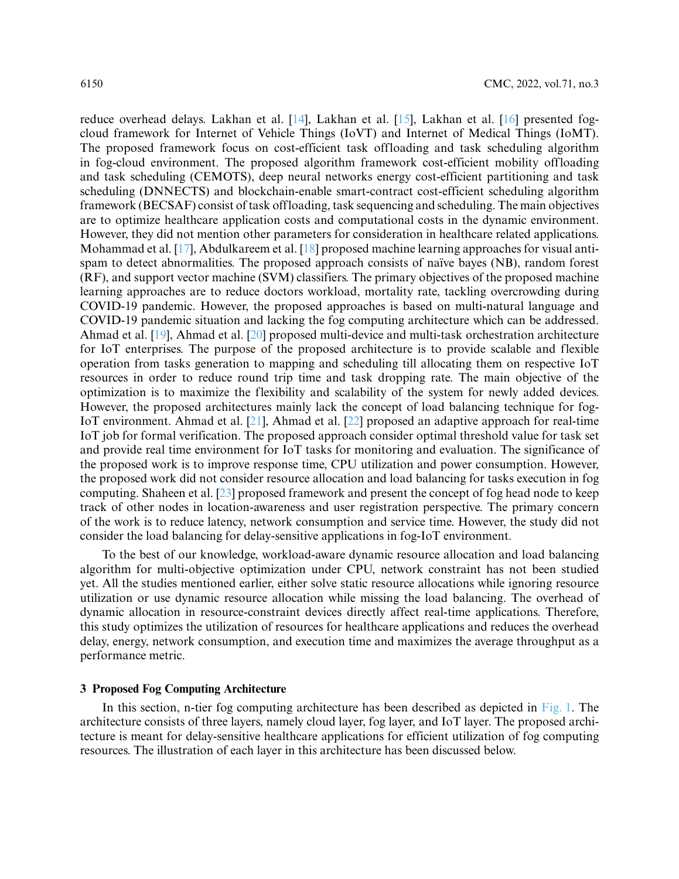reduce overhead delays. Lakhan et al. [\[14\]](#page-16-1), Lakhan et al. [\[15\]](#page-16-2), Lakhan et al. [\[16\]](#page-16-3) presented fogcloud framework for Internet of Vehicle Things (IoVT) and Internet of Medical Things (IoMT). The proposed framework focus on cost-efficient task offloading and task scheduling algorithm in fog-cloud environment. The proposed algorithm framework cost-efficient mobility offloading and task scheduling (CEMOTS), deep neural networks energy cost-efficient partitioning and task scheduling (DNNECTS) and blockchain-enable smart-contract cost-efficient scheduling algorithm framework (BECSAF) consist of task offloading, task sequencing and scheduling. The main objectives are to optimize healthcare application costs and computational costs in the dynamic environment. However, they did not mention other parameters for consideration in healthcare related applications. Mohammad et al. [\[17\]](#page-16-4), Abdulkareem et al. [\[18\]](#page-16-5) proposed machine learning approaches for visual antispam to detect abnormalities. The proposed approach consists of naïve bayes (NB), random forest (RF), and support vector machine (SVM) classifiers. The primary objectives of the proposed machine learning approaches are to reduce doctors workload, mortality rate, tackling overcrowding during COVID-19 pandemic. However, the proposed approaches is based on multi-natural language and COVID-19 pandemic situation and lacking the fog computing architecture which can be addressed. Ahmad et al. [\[19\]](#page-16-6), Ahmad et al. [\[20\]](#page-16-7) proposed multi-device and multi-task orchestration architecture for IoT enterprises. The purpose of the proposed architecture is to provide scalable and flexible operation from tasks generation to mapping and scheduling till allocating them on respective IoT resources in order to reduce round trip time and task dropping rate. The main objective of the optimization is to maximize the flexibility and scalability of the system for newly added devices. However, the proposed architectures mainly lack the concept of load balancing technique for fog-IoT environment. Ahmad et al. [\[21\]](#page-16-8), Ahmad et al. [\[22\]](#page-16-9) proposed an adaptive approach for real-time IoT job for formal verification. The proposed approach consider optimal threshold value for task set and provide real time environment for IoT tasks for monitoring and evaluation. The significance of the proposed work is to improve response time, CPU utilization and power consumption. However, the proposed work did not consider resource allocation and load balancing for tasks execution in fog computing. Shaheen et al. [\[23\]](#page-16-10) proposed framework and present the concept of fog head node to keep track of other nodes in location-awareness and user registration perspective. The primary concern of the work is to reduce latency, network consumption and service time. However, the study did not consider the load balancing for delay-sensitive applications in fog-IoT environment.

To the best of our knowledge, workload-aware dynamic resource allocation and load balancing algorithm for multi-objective optimization under CPU, network constraint has not been studied yet. All the studies mentioned earlier, either solve static resource allocations while ignoring resource utilization or use dynamic resource allocation while missing the load balancing. The overhead of dynamic allocation in resource-constraint devices directly affect real-time applications. Therefore, this study optimizes the utilization of resources for healthcare applications and reduces the overhead delay, energy, network consumption, and execution time and maximizes the average throughput as a performance metric.

#### **3 Proposed Fog Computing Architecture**

In this section, n-tier fog computing architecture has been described as depicted in [Fig. 1.](#page-4-0) The architecture consists of three layers, namely cloud layer, fog layer, and IoT layer. The proposed architecture is meant for delay-sensitive healthcare applications for efficient utilization of fog computing resources. The illustration of each layer in this architecture has been discussed below.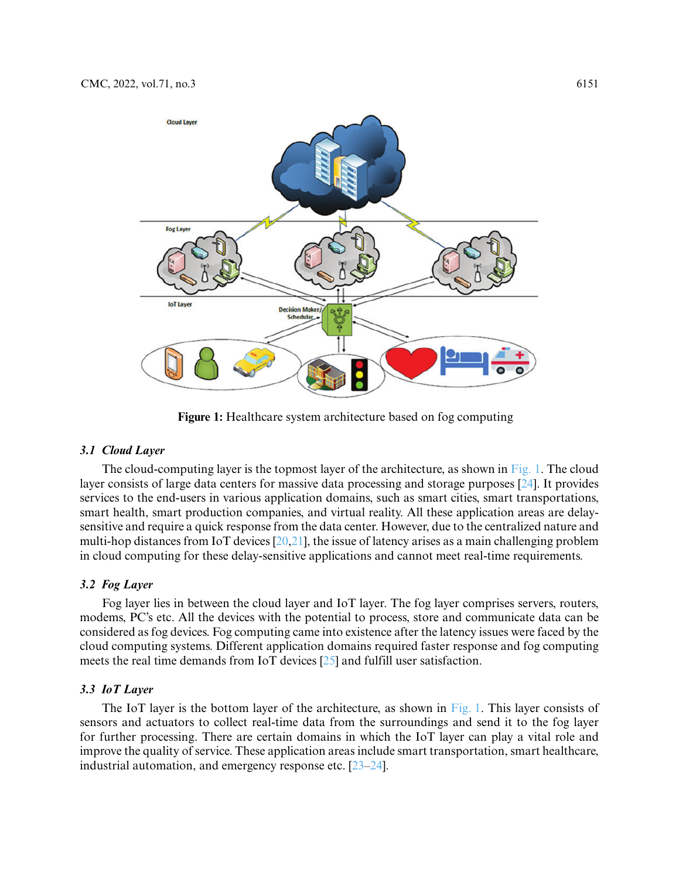

**Figure 1:** Healthcare system architecture based on fog computing

## <span id="page-4-0"></span>*3.1 Cloud Layer*

The cloud-computing layer is the topmost layer of the architecture, as shown in [Fig. 1.](#page-4-0) The cloud layer consists of large data centers for massive data processing and storage purposes [\[24\]](#page-16-11). It provides services to the end-users in various application domains, such as smart cities, smart transportations, smart health, smart production companies, and virtual reality. All these application areas are delaysensitive and require a quick response from the data center. However, due to the centralized nature and multi-hop distances from IoT devices [\[20,](#page-16-7)[21\]](#page-16-8), the issue of latency arises as a main challenging problem in cloud computing for these delay-sensitive applications and cannot meet real-time requirements.

## *3.2 Fog Layer*

Fog layer lies in between the cloud layer and IoT layer. The fog layer comprises servers, routers, modems, PC's etc. All the devices with the potential to process, store and communicate data can be considered as fog devices. Fog computing came into existence after the latency issues were faced by the cloud computing systems. Different application domains required faster response and fog computing meets the real time demands from IoT devices [\[25\]](#page-16-12) and fulfill user satisfaction.

#### *3.3 IoT Layer*

The IoT layer is the bottom layer of the architecture, as shown in [Fig. 1.](#page-4-0) This layer consists of sensors and actuators to collect real-time data from the surroundings and send it to the fog layer for further processing. There are certain domains in which the IoT layer can play a vital role and improve the quality of service. These application areas include smart transportation, smart healthcare, industrial automation, and emergency response etc. [\[23–](#page-16-10)[24\]](#page-16-11).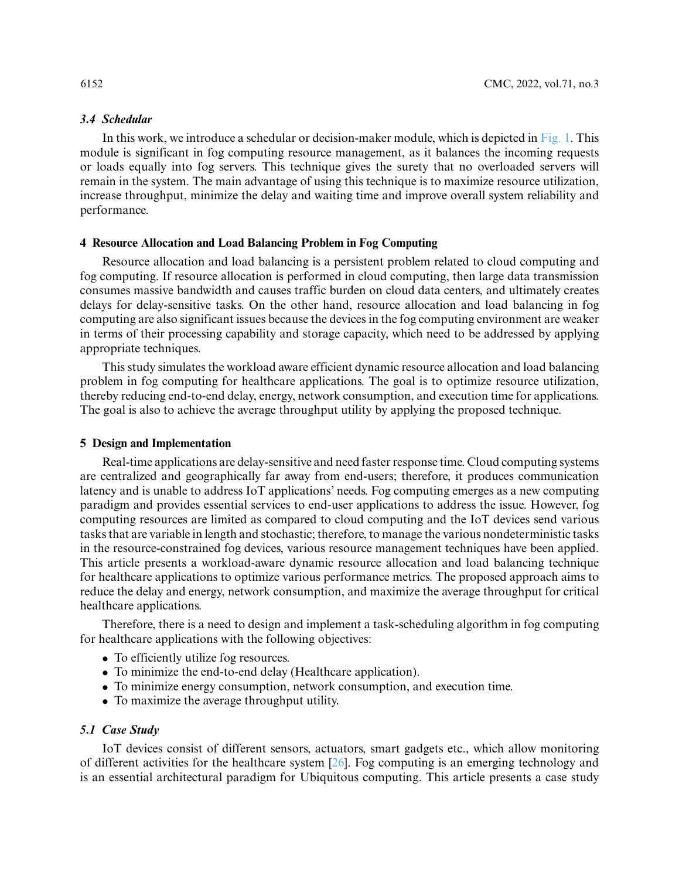## *3.4 Schedular*

In this work, we introduce a schedular or decision-maker module, which is depicted in [Fig. 1.](#page-4-0) This module is significant in fog computing resource management, as it balances the incoming requests or loads equally into fog servers. This technique gives the surety that no overloaded servers will remain in the system. The main advantage of using this technique is to maximize resource utilization, increase throughput, minimize the delay and waiting time and improve overall system reliability and performance.

## **4 Resource Allocation and Load Balancing Problem in Fog Computing**

Resource allocation and load balancing is a persistent problem related to cloud computing and fog computing. If resource allocation is performed in cloud computing, then large data transmission consumes massive bandwidth and causes traffic burden on cloud data centers, and ultimately creates delays for delay-sensitive tasks. On the other hand, resource allocation and load balancing in fog computing are also significant issues because the devices in the fog computing environment are weaker in terms of their processing capability and storage capacity, which need to be addressed by applying appropriate techniques.

This study simulates the workload aware efficient dynamic resource allocation and load balancing problem in fog computing for healthcare applications. The goal is to optimize resource utilization, thereby reducing end-to-end delay, energy, network consumption, and execution time for applications. The goal is also to achieve the average throughput utility by applying the proposed technique.

## **5 Design and Implementation**

Real-time applications are delay-sensitive and need faster response time. Cloud computing systems are centralized and geographically far away from end-users; therefore, it produces communication latency and is unable to address IoT applications' needs. Fog computing emerges as a new computing paradigm and provides essential services to end-user applications to address the issue. However, fog computing resources are limited as compared to cloud computing and the IoT devices send various tasks that are variable in length and stochastic; therefore, to manage the various nondeterministic tasks in the resource-constrained fog devices, various resource management techniques have been applied. This article presents a workload-aware dynamic resource allocation and load balancing technique for healthcare applications to optimize various performance metrics. The proposed approach aims to reduce the delay and energy, network consumption, and maximize the average throughput for critical healthcare applications.

Therefore, there is a need to design and implement a task-scheduling algorithm in fog computing for healthcare applications with the following objectives:

- To efficiently utilize fog resources.
- To minimize the end-to-end delay (Healthcare application).
- To minimize energy consumption, network consumption, and execution time.
- To maximize the average throughput utility.

## *5.1 Case Study*

IoT devices consist of different sensors, actuators, smart gadgets etc., which allow monitoring of different activities for the healthcare system [\[26\]](#page-16-13). Fog computing is an emerging technology and is an essential architectural paradigm for Ubiquitous computing. This article presents a case study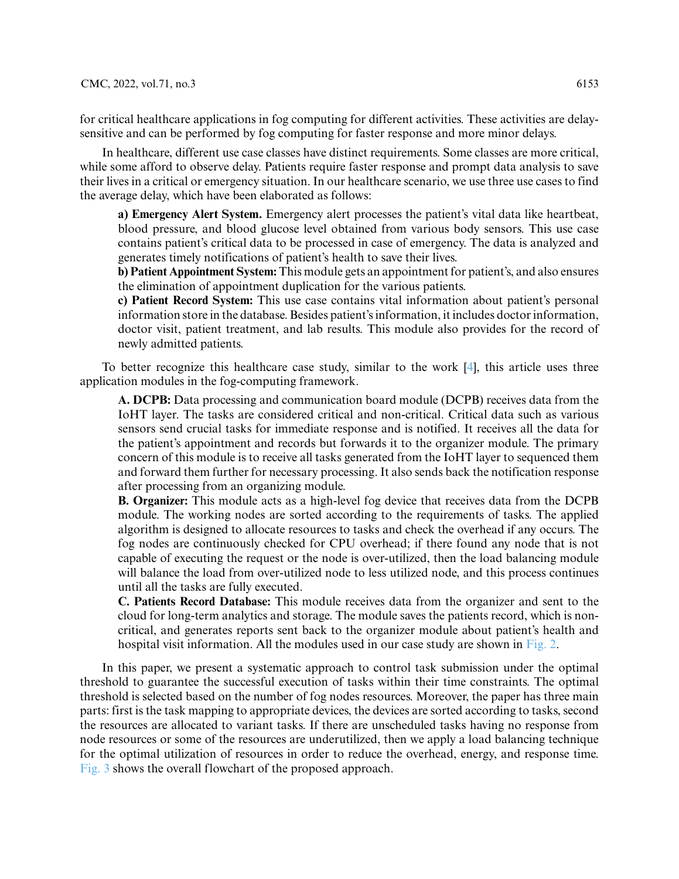for critical healthcare applications in fog computing for different activities. These activities are delaysensitive and can be performed by fog computing for faster response and more minor delays.

In healthcare, different use case classes have distinct requirements. Some classes are more critical, while some afford to observe delay. Patients require faster response and prompt data analysis to save their lives in a critical or emergency situation. In our healthcare scenario, we use three use cases to find the average delay, which have been elaborated as follows:

**a) Emergency Alert System.** Emergency alert processes the patient's vital data like heartbeat, blood pressure, and blood glucose level obtained from various body sensors. This use case contains patient's critical data to be processed in case of emergency. The data is analyzed and generates timely notifications of patient's health to save their lives.

**b) Patient Appointment System:** This module gets an appointment for patient's, and also ensures the elimination of appointment duplication for the various patients.

**c) Patient Record System:** This use case contains vital information about patient's personal information store in the database. Besides patient's information, it includes doctor information, doctor visit, patient treatment, and lab results. This module also provides for the record of newly admitted patients.

To better recognize this healthcare case study, similar to the work [\[4\]](#page-15-3), this article uses three application modules in the fog-computing framework.

**A. DCPB:** Data processing and communication board module (DCPB) receives data from the IoHT layer. The tasks are considered critical and non-critical. Critical data such as various sensors send crucial tasks for immediate response and is notified. It receives all the data for the patient's appointment and records but forwards it to the organizer module. The primary concern of this module is to receive all tasks generated from the IoHT layer to sequenced them and forward them further for necessary processing. It also sends back the notification response after processing from an organizing module.

**B. Organizer:** This module acts as a high-level fog device that receives data from the DCPB module. The working nodes are sorted according to the requirements of tasks. The applied algorithm is designed to allocate resources to tasks and check the overhead if any occurs. The fog nodes are continuously checked for CPU overhead; if there found any node that is not capable of executing the request or the node is over-utilized, then the load balancing module will balance the load from over-utilized node to less utilized node, and this process continues until all the tasks are fully executed.

**C. Patients Record Database:** This module receives data from the organizer and sent to the cloud for long-term analytics and storage. The module saves the patients record, which is noncritical, and generates reports sent back to the organizer module about patient's health and hospital visit information. All the modules used in our case study are shown in [Fig. 2.](#page-7-0)

In this paper, we present a systematic approach to control task submission under the optimal threshold to guarantee the successful execution of tasks within their time constraints. The optimal threshold is selected based on the number of fog nodes resources. Moreover, the paper has three main parts: first is the task mapping to appropriate devices, the devices are sorted according to tasks, second the resources are allocated to variant tasks. If there are unscheduled tasks having no response from node resources or some of the resources are underutilized, then we apply a load balancing technique for the optimal utilization of resources in order to reduce the overhead, energy, and response time. [Fig. 3](#page-7-1) shows the overall flowchart of the proposed approach.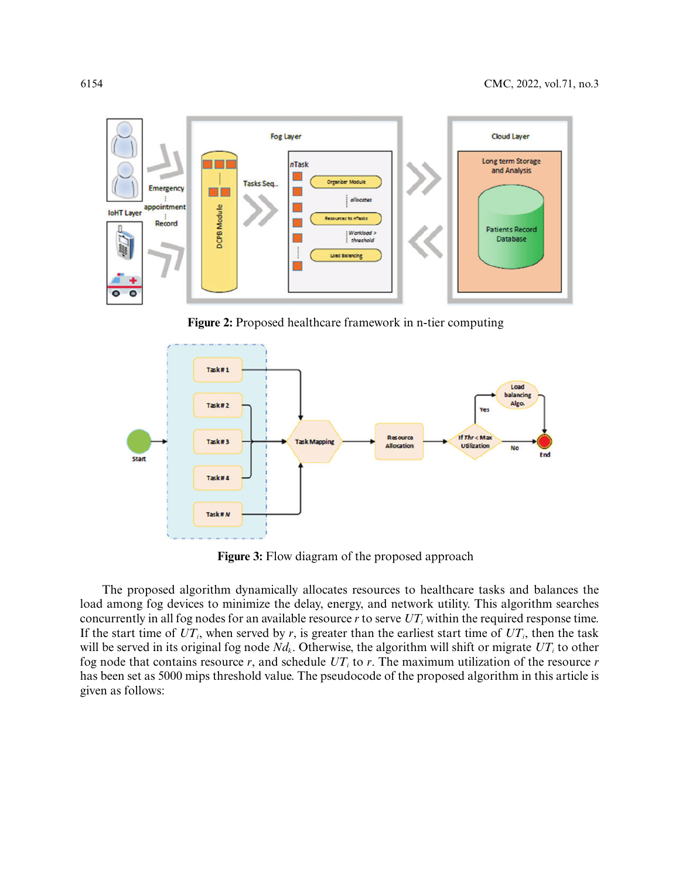

**Figure 2:** Proposed healthcare framework in n-tier computing

<span id="page-7-0"></span>

**Figure 3:** Flow diagram of the proposed approach

<span id="page-7-1"></span>The proposed algorithm dynamically allocates resources to healthcare tasks and balances the load among fog devices to minimize the delay, energy, and network utility. This algorithm searches concurrently in all fog nodes for an available resource  $r$  to serve  $UT_i$  within the required response time. If the start time of  $UT_i$ , when served by *r*, is greater than the earliest start time of  $UT_i$ , then the task will be served in its original fog node  $Nd_k$ . Otherwise, the algorithm will shift or migrate  $UT_i$  to other fog node that contains resource  $r$ , and schedule  $UT_i$  to  $r$ . The maximum utilization of the resource  $r$ has been set as 5000 mips threshold value. The pseudocode of the proposed algorithm in this article is given as follows: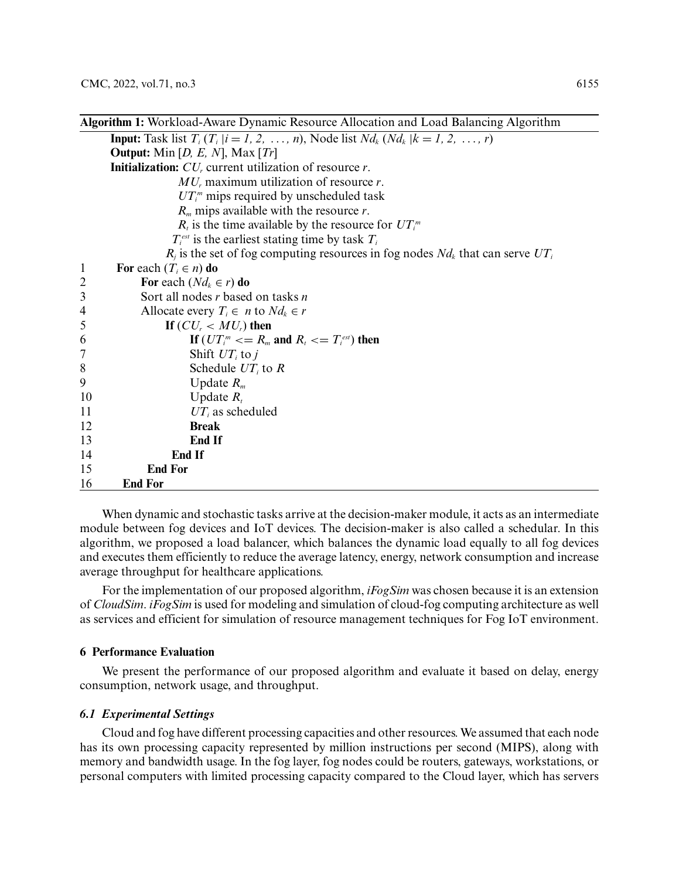|                | <b>Algorithm 1:</b> Workload-Aware Dynamic Resource Allocation and Load Balancing Algorithm      |  |  |  |
|----------------|--------------------------------------------------------------------------------------------------|--|--|--|
|                | <b>Input:</b> Task list $T_i$ ( $T_i$  i = 1, 2, , n), Node list $Nd_k$ ( $Nd_k$  k = 1, 2, , r) |  |  |  |
|                | <b>Output:</b> Min [ <i>D, E, N</i> ], Max [ <i>Tr</i> ]                                         |  |  |  |
|                | <b>Initialization:</b> $CU_r$ current utilization of resource r.                                 |  |  |  |
|                | $MUr$ maximum utilization of resource r.                                                         |  |  |  |
|                | $UT_i^m$ mips required by unscheduled task                                                       |  |  |  |
|                | $R_m$ mips available with the resource r.                                                        |  |  |  |
|                | $R_i$ is the time available by the resource for $UT_i^m$                                         |  |  |  |
|                | $T_i^{\text{est}}$ is the earliest stating time by task $T_i$                                    |  |  |  |
|                | $R_i$ is the set of fog computing resources in fog nodes $Nd_k$ that can serve $UT_i$            |  |  |  |
| $\mathbf{1}$   | For each $(T_i \in n)$ do                                                                        |  |  |  |
| $\overline{c}$ | For each $(Nd_k \in r)$ do                                                                       |  |  |  |
| 3              | Sort all nodes $r$ based on tasks $n$                                                            |  |  |  |
| $\overline{4}$ | Allocate every $T_i \in n$ to $Nd_k \in r$                                                       |  |  |  |
| 5              | If $(CU_r < MU_r)$ then                                                                          |  |  |  |
| 6              | If $(UT_i^m \leq R_m$ and $R_i \leq T_i^{est}$ then                                              |  |  |  |
| $\overline{7}$ | Shift $UT_i$ to j                                                                                |  |  |  |
| 8              | Schedule $UT_i$ to R                                                                             |  |  |  |
| 9              | Update $R_m$                                                                                     |  |  |  |
| 10             | Update $R_t$                                                                                     |  |  |  |
| 11             | $UT_i$ as scheduled                                                                              |  |  |  |
| 12             | <b>Break</b>                                                                                     |  |  |  |
| 13             | <b>End If</b>                                                                                    |  |  |  |
| 14             | <b>End If</b>                                                                                    |  |  |  |
| 15             | <b>End For</b>                                                                                   |  |  |  |
| 16             | End For                                                                                          |  |  |  |

When dynamic and stochastic tasks arrive at the decision-maker module, it acts as an intermediate module between fog devices and IoT devices. The decision-maker is also called a schedular. In this algorithm, we proposed a load balancer, which balances the dynamic load equally to all fog devices and executes them efficiently to reduce the average latency, energy, network consumption and increase average throughput for healthcare applications.

For the implementation of our proposed algorithm, *iFogSim* was chosen because it is an extension of *CloudSim*. *iFogSim* is used for modeling and simulation of cloud-fog computing architecture as well as services and efficient for simulation of resource management techniques for Fog IoT environment.

# **6 Performance Evaluation**

We present the performance of our proposed algorithm and evaluate it based on delay, energy consumption, network usage, and throughput.

## *6.1 Experimental Settings*

Cloud and fog have different processing capacities and other resources. We assumed that each node has its own processing capacity represented by million instructions per second (MIPS), along with memory and bandwidth usage. In the fog layer, fog nodes could be routers, gateways, workstations, or personal computers with limited processing capacity compared to the Cloud layer, which has servers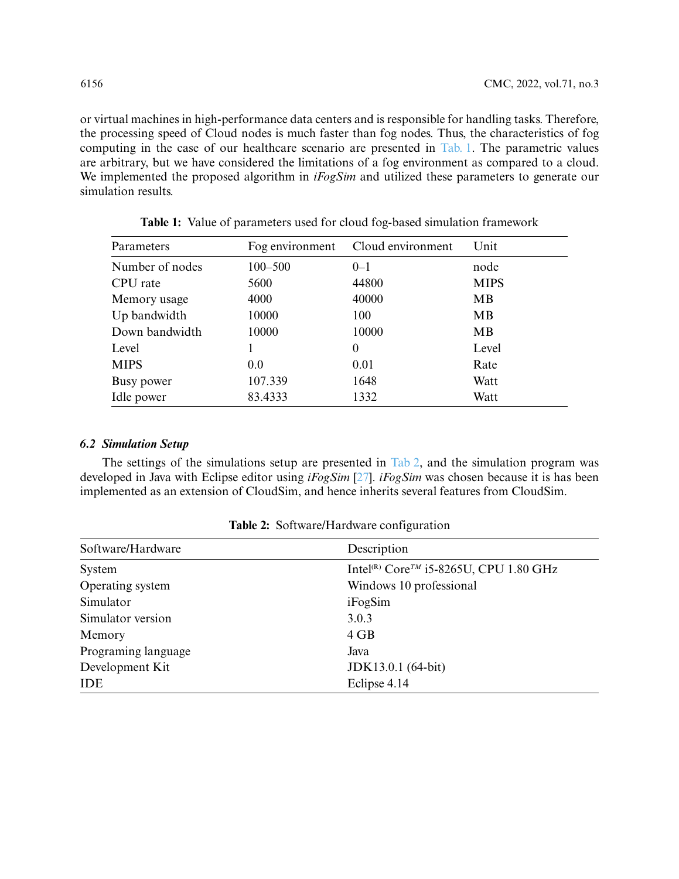or virtual machines in high-performance data centers and is responsible for handling tasks. Therefore, the processing speed of Cloud nodes is much faster than fog nodes. Thus, the characteristics of fog computing in the case of our healthcare scenario are presented in [Tab. 1.](#page-9-0) The parametric values are arbitrary, but we have considered the limitations of a fog environment as compared to a cloud. We implemented the proposed algorithm in *iFogSim* and utilized these parameters to generate our simulation results.

<span id="page-9-0"></span>

| Parameters      | Fog environment | Cloud environment | Unit        |
|-----------------|-----------------|-------------------|-------------|
| Number of nodes | $100 - 500$     | $0 - 1$           | node        |
| CPU rate        | 5600            | 44800             | <b>MIPS</b> |
| Memory usage    | 4000            | 40000             | MВ          |
| Up bandwidth    | 10000           | 100               | MВ          |
| Down bandwidth  | 10000           | 10000             | MВ          |
| Level           |                 | $\theta$          | Level       |
| <b>MIPS</b>     | 0.0             | 0.01              | Rate        |
| Busy power      | 107.339         | 1648              | Watt        |
| Idle power      | 83.4333         | 1332              | Watt        |

**Table 1:** Value of parameters used for cloud fog-based simulation framework

## *6.2 Simulation Setup*

The settings of the simulations setup are presented in [Tab 2,](#page-9-1) and the simulation program was developed in Java with Eclipse editor using *iFogSim* [\[27\]](#page-16-14). *iFogSim* was chosen because it is has been implemented as an extension of CloudSim, and hence inherits several features from CloudSim.

<span id="page-9-1"></span>

| Software/Hardware   | Description                                                    |
|---------------------|----------------------------------------------------------------|
| System              | Intel <sup>(R)</sup> Core <sup>TM</sup> i5-8265U, CPU 1.80 GHz |
| Operating system    | Windows 10 professional                                        |
| Simulator           | iFogSim                                                        |
| Simulator version   | 3.0.3                                                          |
| Memory              | 4 GB                                                           |
| Programing language | Java                                                           |
| Development Kit     | JDK13.0.1 (64-bit)                                             |
| <b>IDE</b>          | Eclipse 4.14                                                   |

| Table 2: Software/Hardware configuration |  |
|------------------------------------------|--|
|                                          |  |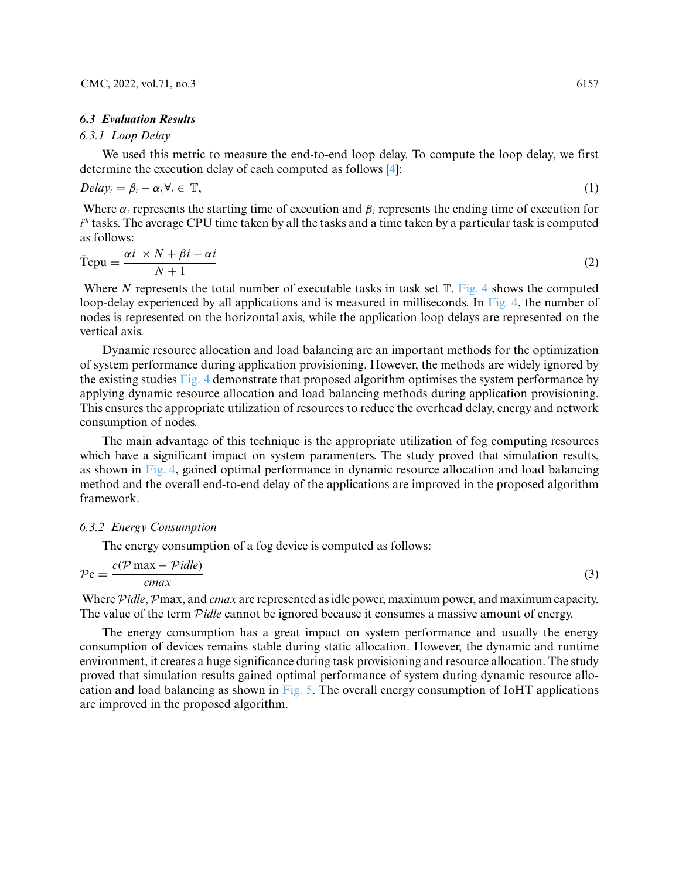#### *6.3 Evaluation Results*

## *6.3.1 Loop Delay*

We used this metric to measure the end-to-end loop delay. To compute the loop delay, we first determine the execution delay of each computed as follows [\[4\]](#page-15-3):

$$
Delay_i = \beta_i - \alpha_i, \forall_i \in \mathbb{T}, \tag{1}
$$

Where  $\alpha_i$  represents the starting time of execution and  $\beta_i$  represents the ending time of execution for  $i^\text{\tiny th}$  tasks. The average CPU time taken by all the tasks and a time taken by a particular task is computed as follows:

$$
\overline{T}cpu = \frac{\alpha i \times N + \beta i - \alpha i}{N + 1}
$$
 (2)

Where *N* represents the total number of executable tasks in task set  $T$ . [Fig. 4](#page-11-0) shows the computed loop-delay experienced by all applications and is measured in milliseconds. In [Fig. 4,](#page-11-0) the number of nodes is represented on the horizontal axis, while the application loop delays are represented on the vertical axis.

Dynamic resource allocation and load balancing are an important methods for the optimization of system performance during application provisioning. However, the methods are widely ignored by the existing studies [Fig. 4](#page-11-0) demonstrate that proposed algorithm optimises the system performance by applying dynamic resource allocation and load balancing methods during application provisioning. This ensures the appropriate utilization of resources to reduce the overhead delay, energy and network consumption of nodes.

The main advantage of this technique is the appropriate utilization of fog computing resources which have a significant impact on system paramenters. The study proved that simulation results, as shown in [Fig. 4,](#page-11-0) gained optimal performance in dynamic resource allocation and load balancing method and the overall end-to-end delay of the applications are improved in the proposed algorithm framework.

#### *6.3.2 Energy Consumption*

The energy consumption of a fog device is computed as follows:

$$
\mathcal{P}c = \frac{c(\mathcal{P} \max - Pidle)}{cmax}
$$
 (3)

Where Pidle, Pmax, and *cmax* are represented as idle power, maximum power, and maximum capacity. The value of the term P*idle* cannot be ignored because it consumes a massive amount of energy.

The energy consumption has a great impact on system performance and usually the energy consumption of devices remains stable during static allocation. However, the dynamic and runtime environment, it creates a huge significance during task provisioning and resource allocation. The study proved that simulation results gained optimal performance of system during dynamic resource allocation and load balancing as shown in [Fig. 5.](#page-12-0) The overall energy consumption of IoHT applications are improved in the proposed algorithm.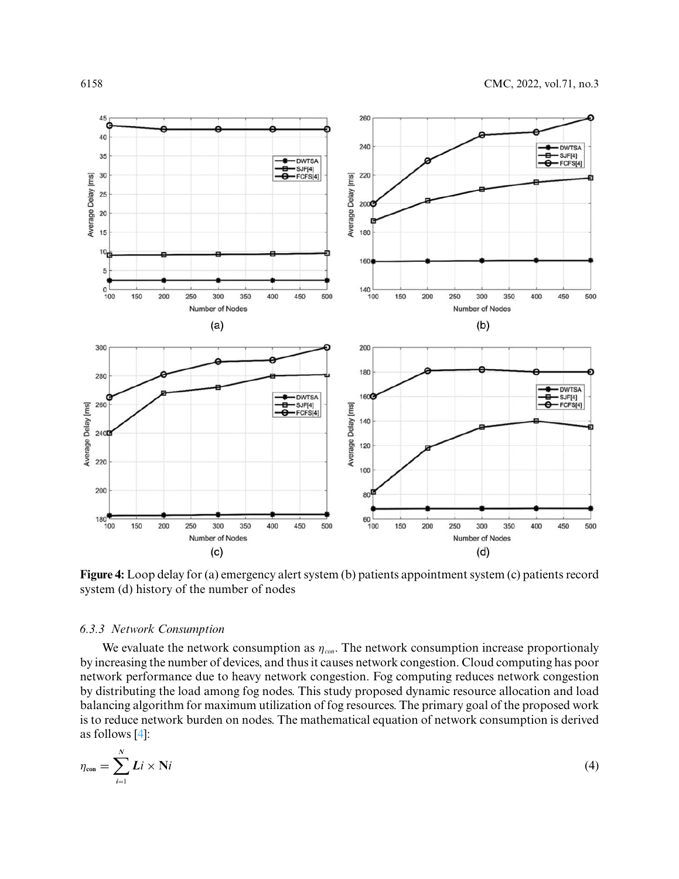

<span id="page-11-0"></span>**Figure 4:** Loop delay for (a) emergency alert system (b) patients appointment system (c) patients record system (d) history of the number of nodes

# *6.3.3 Network Consumption*

We evaluate the network consumption as *ηcon*. The network consumption increase proportionaly by increasing the number of devices, and thus it causes network congestion. Cloud computing has poor network performance due to heavy network congestion. Fog computing reduces network congestion by distributing the load among fog nodes. This study proposed dynamic resource allocation and load balancing algorithm for maximum utilization of fog resources. The primary goal of the proposed work is to reduce network burden on nodes. The mathematical equation of network consumption is derived as follows [\[4\]](#page-15-3):

$$
\eta_{\text{con}} = \sum_{i=1}^{N} Li \times Ni \tag{4}
$$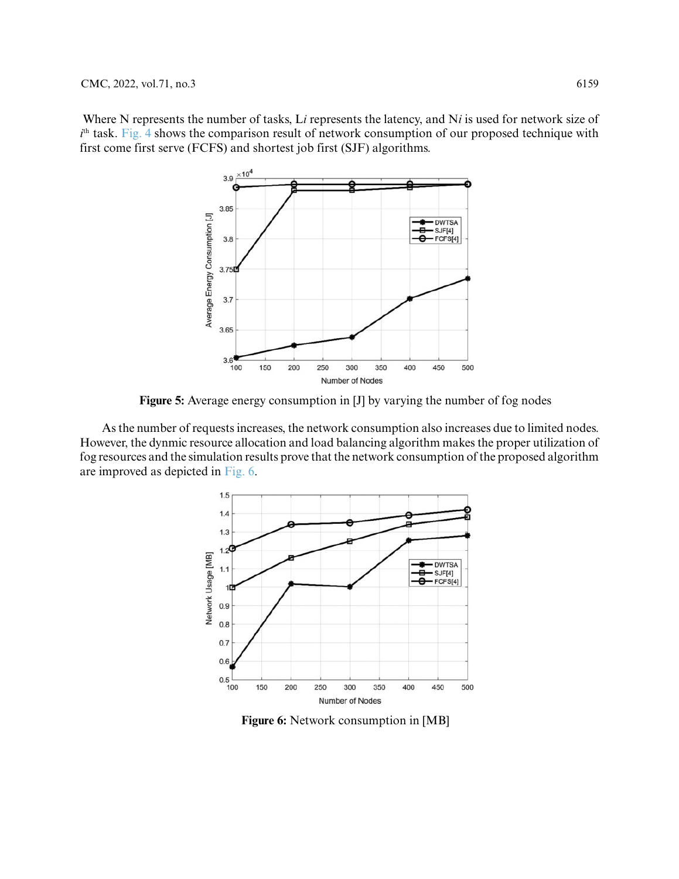Where N represents the number of tasks, L*i* represents the latency, and N*i* is used for network size of *i*<sup>th</sup> task. [Fig. 4](#page-11-0) shows the comparison result of network consumption of our proposed technique with first come first serve (FCFS) and shortest job first (SJF) algorithms.



**Figure 5:** Average energy consumption in [J] by varying the number of fog nodes

<span id="page-12-0"></span>As the number of requests increases, the network consumption also increases due to limited nodes. However, the dynmic resource allocation and load balancing algorithm makes the proper utilization of fog resources and the simulation results prove that the network consumption of the proposed algorithm are improved as depicted in [Fig. 6.](#page-12-1)



<span id="page-12-1"></span>**Figure 6:** Network consumption in [MB]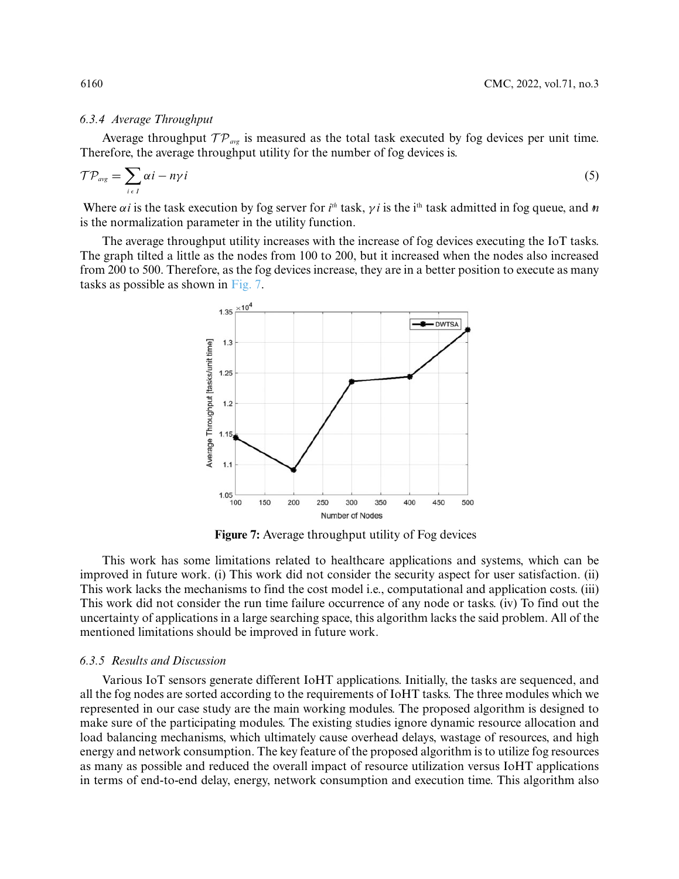## *6.3.4 Average Throughput*

Average throughput  $TP_{avg}$  is measured as the total task executed by fog devices per unit time. Therefore, the average throughput utility for the number of fog devices is.

$$
\mathcal{TP}_{\text{avg}} = \sum_{i \in I} \alpha i - n\gamma i \tag{5}
$$

Where  $\alpha i$  is the task execution by fog server for  $i^{th}$  task,  $\gamma i$  is the i<sup>th</sup> task admitted in fog queue, and *n* is the normalization parameter in the utility function.

The average throughput utility increases with the increase of fog devices executing the IoT tasks. The graph tilted a little as the nodes from 100 to 200, but it increased when the nodes also increased from 200 to 500. Therefore, as the fog devices increase, they are in a better position to execute as many tasks as possible as shown in [Fig. 7.](#page-13-0)



**Figure 7:** Average throughput utility of Fog devices

<span id="page-13-0"></span>This work has some limitations related to healthcare applications and systems, which can be improved in future work. (i) This work did not consider the security aspect for user satisfaction. (ii) This work lacks the mechanisms to find the cost model i.e., computational and application costs. (iii) This work did not consider the run time failure occurrence of any node or tasks. (iv) To find out the uncertainty of applications in a large searching space, this algorithm lacks the said problem. All of the mentioned limitations should be improved in future work.

#### *6.3.5 Results and Discussion*

Various IoT sensors generate different IoHT applications. Initially, the tasks are sequenced, and all the fog nodes are sorted according to the requirements of IoHT tasks. The three modules which we represented in our case study are the main working modules. The proposed algorithm is designed to make sure of the participating modules. The existing studies ignore dynamic resource allocation and load balancing mechanisms, which ultimately cause overhead delays, wastage of resources, and high energy and network consumption. The key feature of the proposed algorithm is to utilize fog resources as many as possible and reduced the overall impact of resource utilization versus IoHT applications in terms of end-to-end delay, energy, network consumption and execution time. This algorithm also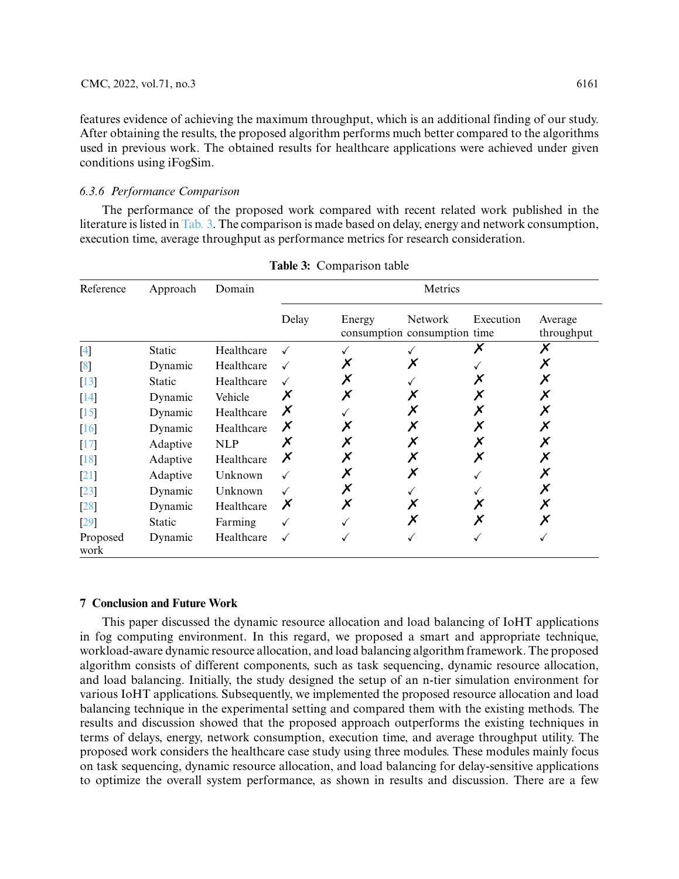features evidence of achieving the maximum throughput, which is an additional finding of our study. After obtaining the results, the proposed algorithm performs much better compared to the algorithms used in previous work. The obtained results for healthcare applications were achieved under given conditions using iFogSim.

# *6.3.6 Performance Comparison*

The performance of the proposed work compared with recent related work published in the literature is listed in [Tab. 3.](#page-14-0) The comparison is made based on delay, energy and network consumption, execution time, average throughput as performance metrics for research consideration.

<span id="page-14-0"></span>

| Reference                                                                                                                                                                                                                                                                                                                                                                                                                                                                                                                                                                                                                                                                                                                                                                                                                             | Approach      | Domain     | Metrics |        |                                                |           |                       |
|---------------------------------------------------------------------------------------------------------------------------------------------------------------------------------------------------------------------------------------------------------------------------------------------------------------------------------------------------------------------------------------------------------------------------------------------------------------------------------------------------------------------------------------------------------------------------------------------------------------------------------------------------------------------------------------------------------------------------------------------------------------------------------------------------------------------------------------|---------------|------------|---------|--------|------------------------------------------------|-----------|-----------------------|
|                                                                                                                                                                                                                                                                                                                                                                                                                                                                                                                                                                                                                                                                                                                                                                                                                                       |               |            | Delay   | Energy | <b>Network</b><br>consumption consumption time | Execution | Average<br>throughput |
| $[4] \centering% \includegraphics[width=1\textwidth]{images/TransY.pdf} \caption{The first two different values of $g_I$ and $g_I$ are shown in the left (upper) and the right (lower) and the right (lower) are shown in the right (lower) and the right (lower) are shown in the right (lower) and the right (lower) are shown in the right (lower) and the right (lower) are shown in the right (lower) and the right (lower) are shown in the right (lower) and the right (lower) are shown in the right (lower) and the right (lower) are shown in the right (lower) and the right (lower) are shown in the right (lower) and the right (lower) are shown in the right (lower) and the right (lower) are shown in the right (lower) and the right (lower) are shown in the right (lower) and the right (lower) are shown in the$ | Static        | Healthcare |         |        |                                                |           |                       |
| [8]                                                                                                                                                                                                                                                                                                                                                                                                                                                                                                                                                                                                                                                                                                                                                                                                                                   | Dynamic       | Healthcare |         |        |                                                |           | Х                     |
| $[13]$                                                                                                                                                                                                                                                                                                                                                                                                                                                                                                                                                                                                                                                                                                                                                                                                                                | <b>Static</b> | Healthcare |         | Х      |                                                |           | Х                     |
| $[14]$                                                                                                                                                                                                                                                                                                                                                                                                                                                                                                                                                                                                                                                                                                                                                                                                                                | Dynamic       | Vehicle    | Х       | Х      |                                                |           | Х                     |
| $[15]$                                                                                                                                                                                                                                                                                                                                                                                                                                                                                                                                                                                                                                                                                                                                                                                                                                | Dynamic       | Healthcare | Х       |        |                                                |           | Х                     |
| [16]                                                                                                                                                                                                                                                                                                                                                                                                                                                                                                                                                                                                                                                                                                                                                                                                                                  | Dynamic       | Healthcare | Х       |        |                                                |           | Х                     |
| $[17]$                                                                                                                                                                                                                                                                                                                                                                                                                                                                                                                                                                                                                                                                                                                                                                                                                                | Adaptive      | <b>NLP</b> |         |        |                                                |           |                       |
| $[18]$                                                                                                                                                                                                                                                                                                                                                                                                                                                                                                                                                                                                                                                                                                                                                                                                                                | Adaptive      | Healthcare | Х       |        |                                                |           |                       |
| $[21]$                                                                                                                                                                                                                                                                                                                                                                                                                                                                                                                                                                                                                                                                                                                                                                                                                                | Adaptive      | Unknown    |         | Х      | Х                                              |           |                       |
| $[23]$                                                                                                                                                                                                                                                                                                                                                                                                                                                                                                                                                                                                                                                                                                                                                                                                                                | Dynamic       | Unknown    |         | Х      |                                                |           | Х                     |
| $[28]$                                                                                                                                                                                                                                                                                                                                                                                                                                                                                                                                                                                                                                                                                                                                                                                                                                | Dynamic       | Healthcare | Х       | Х      |                                                |           | Х                     |
| [29]                                                                                                                                                                                                                                                                                                                                                                                                                                                                                                                                                                                                                                                                                                                                                                                                                                  | <b>Static</b> | Farming    |         |        |                                                |           | Х                     |
| Proposed<br>work                                                                                                                                                                                                                                                                                                                                                                                                                                                                                                                                                                                                                                                                                                                                                                                                                      | Dynamic       | Healthcare |         |        |                                                |           |                       |

|  | <b>Table 3:</b> Comparison table |  |  |
|--|----------------------------------|--|--|
|--|----------------------------------|--|--|

#### **7 Conclusion and Future Work**

This paper discussed the dynamic resource allocation and load balancing of IoHT applications in fog computing environment. In this regard, we proposed a smart and appropriate technique, workload-aware dynamic resource allocation, and load balancing algorithm framework. The proposed algorithm consists of different components, such as task sequencing, dynamic resource allocation, and load balancing. Initially, the study designed the setup of an n-tier simulation environment for various IoHT applications. Subsequently, we implemented the proposed resource allocation and load balancing technique in the experimental setting and compared them with the existing methods. The results and discussion showed that the proposed approach outperforms the existing techniques in terms of delays, energy, network consumption, execution time, and average throughput utility. The proposed work considers the healthcare case study using three modules. These modules mainly focus on task sequencing, dynamic resource allocation, and load balancing for delay-sensitive applications to optimize the overall system performance, as shown in results and discussion. There are a few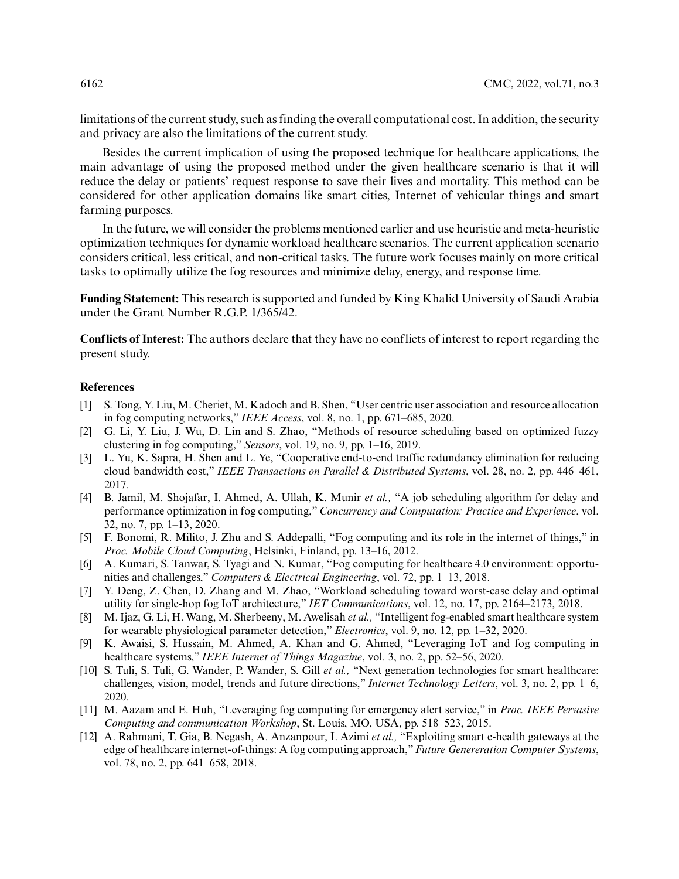limitations of the current study, such as finding the overall computational cost. In addition, the security and privacy are also the limitations of the current study.

Besides the current implication of using the proposed technique for healthcare applications, the main advantage of using the proposed method under the given healthcare scenario is that it will reduce the delay or patients' request response to save their lives and mortality. This method can be considered for other application domains like smart cities, Internet of vehicular things and smart farming purposes.

In the future, we will consider the problems mentioned earlier and use heuristic and meta-heuristic optimization techniques for dynamic workload healthcare scenarios. The current application scenario considers critical, less critical, and non-critical tasks. The future work focuses mainly on more critical tasks to optimally utilize the fog resources and minimize delay, energy, and response time.

**Funding Statement:** This research is supported and funded by King Khalid University of Saudi Arabia under the Grant Number R.G.P. 1/365/42.

**Conflicts of Interest:** The authors declare that they have no conflicts of interest to report regarding the present study.

#### **References**

- <span id="page-15-0"></span>[1] S. Tong, Y. Liu, M. Cheriet, M. Kadoch and B. Shen, "User centric user association and resource allocation in fog computing networks," *IEEE Access*, vol. 8, no. 1, pp. 671–685, 2020.
- <span id="page-15-1"></span>[2] G. Li, Y. Liu, J. Wu, D. Lin and S. Zhao, "Methods of resource scheduling based on optimized fuzzy clustering in fog computing," *Sensors*, vol. 19, no. 9, pp. 1–16, 2019.
- <span id="page-15-2"></span>[3] L. Yu, K. Sapra, H. Shen and L. Ye, "Cooperative end-to-end traffic redundancy elimination for reducing cloud bandwidth cost," *IEEE Transactions on Parallel & Distributed Systems*, vol. 28, no. 2, pp. 446–461, 2017.
- <span id="page-15-3"></span>[4] B. Jamil, M. Shojafar, I. Ahmed, A. Ullah, K. Munir *et al.,* "A job scheduling algorithm for delay and performance optimization in fog computing," *Concurrency and Computation: Practice and Experience*, vol. 32, no. 7, pp. 1–13, 2020.
- <span id="page-15-4"></span>[5] F. Bonomi, R. Milito, J. Zhu and S. Addepalli, "Fog computing and its role in the internet of things," in *Proc. Mobile Cloud Computing*, Helsinki, Finland, pp. 13–16, 2012.
- <span id="page-15-5"></span>[6] A. Kumari, S. Tanwar, S. Tyagi and N. Kumar, "Fog computing for healthcare 4.0 environment: opportunities and challenges," *Computers & Electrical Engineering*, vol. 72, pp. 1–13, 2018.
- <span id="page-15-6"></span>[7] Y. Deng, Z. Chen, D. Zhang and M. Zhao, "Workload scheduling toward worst-case delay and optimal utility for single-hop fog IoT architecture," *IET Communications*, vol. 12, no. 17, pp. 2164–2173, 2018.
- <span id="page-15-9"></span>[8] M. Ijaz, G. Li, H. Wang, M. Sherbeeny, M. Awelisah *et al.,* "Intelligent fog-enabled smart healthcare system for wearable physiological parameter detection," *Electronics*, vol. 9, no. 12, pp. 1–32, 2020.
- <span id="page-15-8"></span>[9] K. Awaisi, S. Hussain, M. Ahmed, A. Khan and G. Ahmed, "Leveraging IoT and fog computing in healthcare systems," *IEEE Internet of Things Magazine*, vol. 3, no. 2, pp. 52–56, 2020.
- <span id="page-15-10"></span>[10] S. Tuli, S. Tuli, G. Wander, P. Wander, S. Gill *et al.,* "Next generation technologies for smart healthcare: challenges, vision, model, trends and future directions," *Internet Technology Letters*, vol. 3, no. 2, pp. 1–6, 2020.
- <span id="page-15-7"></span>[11] M. Aazam and E. Huh, "Leveraging fog computing for emergency alert service," in *Proc. IEEE Pervasive Computing and communication Workshop*, St. Louis, MO, USA, pp. 518–523, 2015.
- <span id="page-15-11"></span>[12] A. Rahmani, T. Gia, B. Negash, A. Anzanpour, I. Azimi *et al.,* "Exploiting smart e-health gateways at the edge of healthcare internet-of-things: A fog computing approach," *Future Genereration Computer Systems*, vol. 78, no. 2, pp. 641–658, 2018.